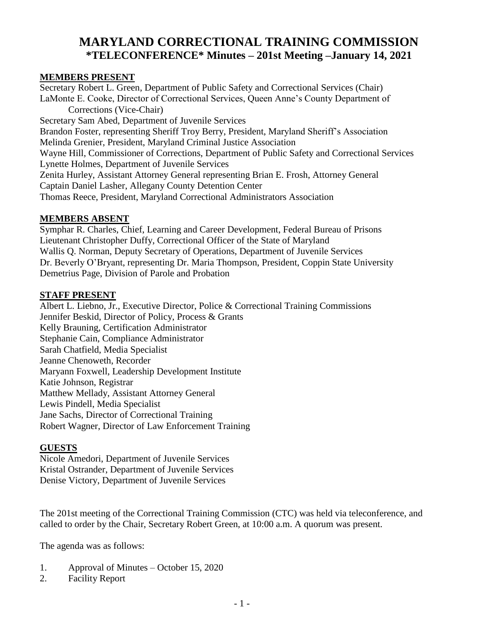# **MARYLAND CORRECTIONAL TRAINING COMMISSION \*TELECONFERENCE\* Minutes – 201st Meeting –January 14, 2021**

#### **MEMBERS PRESENT**

Secretary Robert L. Green, Department of Public Safety and Correctional Services (Chair) LaMonte E. Cooke, Director of Correctional Services, Queen Anne's County Department of Corrections (Vice-Chair) Secretary Sam Abed, Department of Juvenile Services Brandon Foster, representing Sheriff Troy Berry, President, Maryland Sheriff's Association Melinda Grenier, President, Maryland Criminal Justice Association Wayne Hill, Commissioner of Corrections, Department of Public Safety and Correctional Services Lynette Holmes, Department of Juvenile Services Zenita Hurley, Assistant Attorney General representing Brian E. Frosh, Attorney General Captain Daniel Lasher, Allegany County Detention Center Thomas Reece, President, Maryland Correctional Administrators Association

#### **MEMBERS ABSENT**

Symphar R. Charles, Chief, Learning and Career Development, Federal Bureau of Prisons Lieutenant Christopher Duffy, Correctional Officer of the State of Maryland Wallis Q. Norman, Deputy Secretary of Operations, Department of Juvenile Services Dr. Beverly O'Bryant, representing Dr. Maria Thompson, President, Coppin State University Demetrius Page, Division of Parole and Probation

#### **STAFF PRESENT**

Albert L. Liebno, Jr., Executive Director, Police & Correctional Training Commissions Jennifer Beskid, Director of Policy, Process & Grants Kelly Brauning, Certification Administrator Stephanie Cain, Compliance Administrator Sarah Chatfield, Media Specialist Jeanne Chenoweth, Recorder Maryann Foxwell, Leadership Development Institute Katie Johnson, Registrar Matthew Mellady, Assistant Attorney General Lewis Pindell, Media Specialist Jane Sachs, Director of Correctional Training Robert Wagner, Director of Law Enforcement Training

#### **GUESTS**

Nicole Amedori, Department of Juvenile Services Kristal Ostrander, Department of Juvenile Services Denise Victory, Department of Juvenile Services

The 201st meeting of the Correctional Training Commission (CTC) was held via teleconference, and called to order by the Chair, Secretary Robert Green, at 10:00 a.m. A quorum was present.

The agenda was as follows:

- 1. Approval of Minutes October 15, 2020
- 2. Facility Report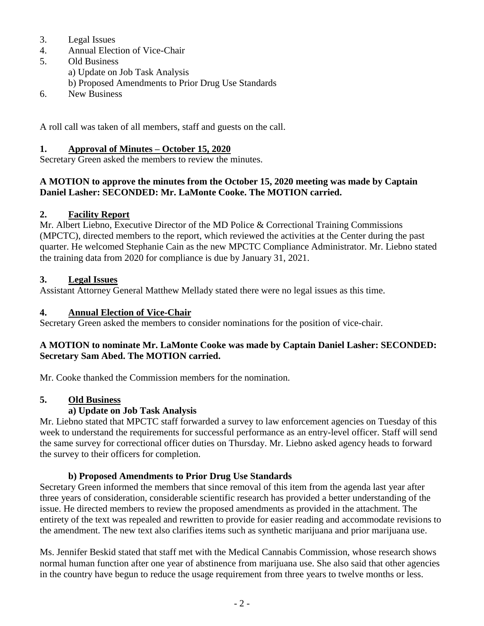- 3. Legal Issues
- 4. Annual Election of Vice-Chair
- 5. Old Business
	- a) Update on Job Task Analysis
	- b) Proposed Amendments to Prior Drug Use Standards
- 6. New Business

A roll call was taken of all members, staff and guests on the call.

#### **1. Approval of Minutes – October 15, 2020**

Secretary Green asked the members to review the minutes.

#### **A MOTION to approve the minutes from the October 15, 2020 meeting was made by Captain Daniel Lasher: SECONDED: Mr. LaMonte Cooke. The MOTION carried.**

## **2. Facility Report**

Mr. Albert Liebno, Executive Director of the MD Police & Correctional Training Commissions (MPCTC), directed members to the report, which reviewed the activities at the Center during the past quarter. He welcomed Stephanie Cain as the new MPCTC Compliance Administrator. Mr. Liebno stated the training data from 2020 for compliance is due by January 31, 2021.

#### **3. Legal Issues**

Assistant Attorney General Matthew Mellady stated there were no legal issues as this time.

### **4. Annual Election of Vice-Chair**

Secretary Green asked the members to consider nominations for the position of vice-chair.

#### **A MOTION to nominate Mr. LaMonte Cooke was made by Captain Daniel Lasher: SECONDED: Secretary Sam Abed. The MOTION carried.**

Mr. Cooke thanked the Commission members for the nomination.

#### **5. Old Business**

# **a) Update on Job Task Analysis**

Mr. Liebno stated that MPCTC staff forwarded a survey to law enforcement agencies on Tuesday of this week to understand the requirements for successful performance as an entry-level officer. Staff will send the same survey for correctional officer duties on Thursday. Mr. Liebno asked agency heads to forward the survey to their officers for completion.

# **b) Proposed Amendments to Prior Drug Use Standards**

Secretary Green informed the members that since removal of this item from the agenda last year after three years of consideration, considerable scientific research has provided a better understanding of the issue. He directed members to review the proposed amendments as provided in the attachment. The entirety of the text was repealed and rewritten to provide for easier reading and accommodate revisions to the amendment. The new text also clarifies items such as synthetic marijuana and prior marijuana use.

Ms. Jennifer Beskid stated that staff met with the Medical Cannabis Commission, whose research shows normal human function after one year of abstinence from marijuana use. She also said that other agencies in the country have begun to reduce the usage requirement from three years to twelve months or less.